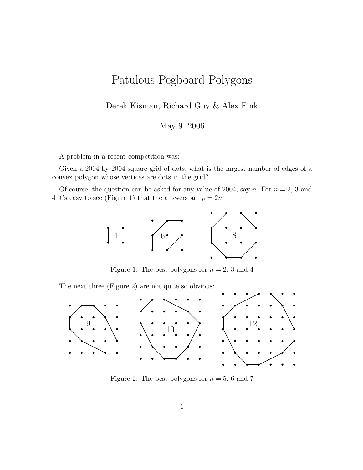## Patulous Pegboard Polygons

Derek Kisman, Richard Guy & Alex Fink

May 9, 2006

A problem in a recent competition was:

Given a 2004 by 2004 square grid of dots, what is the largest number of edges of a convex polygon whose vertices are dots in the grid?

Of course, the question can be asked for any value of 2004, say n. For  $n = 2$ , 3 and 4 it's easy to see (Figure 1) that the answers are  $p = 2n$ :



Figure 1: The best polygons for  $n = 2, 3$  and 4

The next three (Figure 2) are not quite so obvious:



Figure 2: The best polygons for  $n = 5, 6$  and 7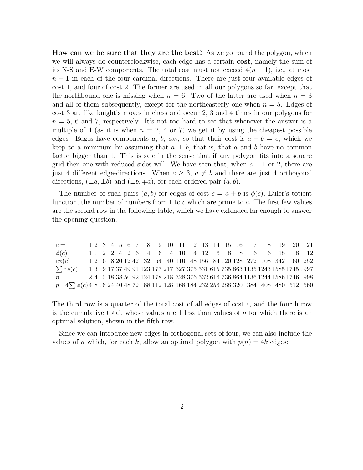How can we be sure that they are the best? As we go round the polygon, which we will always do counterclockwise, each edge has a certain cost, namely the sum of its N-S and E-W components. The total cost must not exceed  $4(n-1)$ , i.e., at most  $n-1$  in each of the four cardinal directions. There are just four available edges of cost 1, and four of cost 2. The former are used in all our polygons so far, except that the northbound one is missing when  $n = 6$ . Two of the latter are used when  $n = 3$ and all of them subsequently, except for the northeasterly one when  $n = 5$ . Edges of cost 3 are like knight's moves in chess and occur 2, 3 and 4 times in our polygons for  $n = 5$ , 6 and 7, respectively. It's not too hard to see that whenever the answer is a multiple of 4 (as it is when  $n = 2$ , 4 or 7) we get it by using the cheapest possible edges. Edges have components a, b, say, so that their cost is  $a + b = c$ , which we keep to a minimum by assuming that  $a \perp b$ , that is, that a and b have no common factor bigger than 1. This is safe in the sense that if any polygon fits into a square grid then one with reduced sides will. We have seen that, when  $c = 1$  or 2, there are just 4 different edge-directions. When  $c \geq 3$ ,  $a \neq b$  and there are just 4 orthogonal directions,  $(\pm a, \pm b)$  and  $(\pm b, \mp a)$ , for each ordered pair  $(a, b)$ .

The number of such pairs  $(a, b)$  for edges of cost  $c = a + b$  is  $\phi(c)$ . Euler's totient function, the number of numbers from  $1$  to  $c$  which are prime to  $c$ . The first few values are the second row in the following table, which we have extended far enough to answer the opening question.

| $c =$                                                                                       |  |  |  |  |  |  |  |  |  | 1 2 3 4 5 6 7 8 9 10 11 12 13 14 15 16 17 18 19 20 21                           |  |
|---------------------------------------------------------------------------------------------|--|--|--|--|--|--|--|--|--|---------------------------------------------------------------------------------|--|
| $\phi(c)$                                                                                   |  |  |  |  |  |  |  |  |  | 1 1 2 2 4 2 6 4 6 4 10 4 12 6 8 8 16 6 18 8 12                                  |  |
| $c\phi(c)$                                                                                  |  |  |  |  |  |  |  |  |  | 1 2 6 8 20 12 42 32 54 40 110 48 156 84 120 128 272 108 342 160 252             |  |
| $\sum c\phi(c)$                                                                             |  |  |  |  |  |  |  |  |  | 1 3 9 17 37 49 91 123 177 217 327 375 531 615 735 863 1135 1243 1585 1745 1997  |  |
| $n_{\rm c}$                                                                                 |  |  |  |  |  |  |  |  |  | 2 4 10 18 38 50 92 124 178 218 328 376 532 616 736 864 1136 1244 1586 1746 1998 |  |
| $p=4\sum \phi(c)$ 4 8 16 24 40 48 72 88 112 128 168 184 232 256 288 320 384 408 480 512 560 |  |  |  |  |  |  |  |  |  |                                                                                 |  |

The third row is a quarter of the total cost of all edges of cost  $c$ , and the fourth row is the cumulative total, whose values are 1 less than values of  $n$  for which there is an optimal solution, shown in the fifth row.

Since we can introduce new edges in orthogonal sets of four, we can also include the values of n which, for each k, allow an optimal polygon with  $p(n) = 4k$  edges: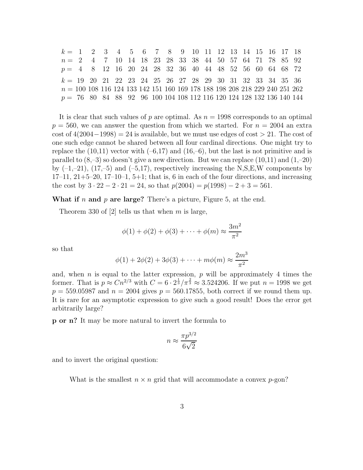| $k = 1$ 2 3 4 5 6 7 8 9 10 11 12 13 14 15 16 17 18                            |  |  |  |  |  |  |  |  |  |
|-------------------------------------------------------------------------------|--|--|--|--|--|--|--|--|--|
| $n = 2$ 4 7 10 14 18 23 28 33 38 44 50 57 64 71 78 85 92                      |  |  |  |  |  |  |  |  |  |
| $p = 4$ 8 12 16 20 24 28 32 36 40 44 48 52 56 60 64 68 72                     |  |  |  |  |  |  |  |  |  |
| $k = 19$ 20 21 22 23 24 25 26 27 28 29 30 31 32 33 34 35 36                   |  |  |  |  |  |  |  |  |  |
| $n = 100 108 116 124 133 142 151 160 169 178 188 198 208 218 229 240 251 262$ |  |  |  |  |  |  |  |  |  |
| $p = 76$ 80 84 88 92 96 100 104 108 112 116 120 124 128 132 136 140 144       |  |  |  |  |  |  |  |  |  |

It is clear that such values of p are optimal. As  $n = 1998$  corresponds to an optimal  $p = 560$ , we can answer the question from which we started. For  $n = 2004$  an extra cost of  $4(2004-1998) = 24$  is available, but we must use edges of cost  $> 21$ . The cost of one such edge cannot be shared between all four cardinal directions. One might try to replace the  $(10,11)$  vector with  $(-6,17)$  and  $(16,-6)$ , but the last is not primitive and is parallel to  $(8,-3)$  so doesn't give a new direction. But we can replace  $(10,11)$  and  $(1,-20)$ by  $(-1,-21)$ ,  $(17,-5)$  and  $(-5,17)$ , respectively increasing the N,S,E,W components by  $17-11$ ,  $21+5-20$ ,  $17-10-1$ ,  $5+1$ ; that is, 6 in each of the four directions, and increasing the cost by  $3 \cdot 22 - 2 \cdot 21 = 24$ , so that  $p(2004) = p(1998) - 2 + 3 = 561$ .

What if n and p are large? There's a picture, Figure 5, at the end.

Theorem 330 of [2] tells us that when m is large,

$$
\phi(1) + \phi(2) + \phi(3) + \cdots + \phi(m) \approx \frac{3m^2}{\pi^2}
$$

so that

$$
\phi(1) + 2\phi(2) + 3\phi(3) + \dots + m\phi(m) \approx \frac{2m^3}{\pi^2}
$$

and, when n is equal to the latter expression,  $p$  will be approximately 4 times the former. That is  $p \approx C n^{2/3}$  with  $C = 6 \cdot 2^{\frac{1}{3}} / \pi^{\frac{2}{3}} \approx 3.524206$ . If we put  $n = 1998$  we get  $p = 559.05987$  and  $n = 2004$  gives  $p = 560.17855$ , both correct if we round them up. It is rare for an asymptotic expression to give such a good result! Does the error get arbitrarily large?

p or n? It may be more natural to invert the formula to

$$
n \approx \frac{\pi p^{3/2}}{6\sqrt{2}}
$$

and to invert the original question:

What is the smallest  $n \times n$  grid that will accommodate a convex p-gon?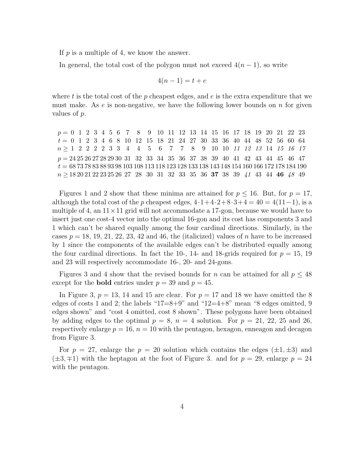If  $p$  is a multiple of 4, we know the answer.

In general, the total cost of the polygon must not exceed  $4(n-1)$ , so write

$$
4(n-1) = t + e
$$

where t is the total cost of the p cheapest edges, and  $e$  is the extra expenditure that we must make. As  $e$  is non-negative, we have the following lower bounds on  $n$  for given values of p.

p = 0 1 2 3 4 5 6 7 8 9 10 11 12 13 14 15 16 17 18 19 20 21 22 23 t = 0 1 2 3 4 6 8 10 12 15 18 21 24 27 30 33 36 40 44 48 52 56 60 64  $n \geq 1$  2 2 2 2 3 3 4 4 5 6 7 7 8 9 10 10 11 12 13 14 15 16 17 p = 24 25 26 27 28 29 30 31 32 33 34 35 36 37 38 39 40 41 42 43 44 45 46 47  $t = 68\,73\,78\,83\,88\,93\,98\,103\,108\,113\,118\,123\,128\,133\,138\,143\,148\,154\,160\,166\,172\,178\,184\,190$  $n \geq 18\,20\,21\,22\,23\,25\,26\,27\,$  28  $\,$  30  $\,$  31  $\,$  32  $\,$  33  $\,$  35  $\,$  36  $\,$  37  $\,$  38  $\,$  39  $\,$   $\,$  41  $\,$  43  $\,$  44  $\,$  46  $\,$  48  $\,$  49  $\,$ 

Figures 1 and 2 show that these minima are attained for  $p \le 16$ . But, for  $p = 17$ , although the total cost of the p cheapest edges,  $4 \cdot 1 + 4 \cdot 2 + 8 \cdot 3 + 4 = 40 = 4(11-1)$ , is a multiple of 4, an  $11 \times 11$  grid will not accommodate a 17-gon, because we would have to insert just one cost-4 vector into the optimal 16-gon and its cost has components 3 and 1 which can't be shared equally among the four cardinal directions. Similarly, in the cases  $p = 18, 19, 21, 22, 23, 42$  and 46, the (italicized) values of n have to be increased by 1 since the components of the available edges can't be distributed equally among the four cardinal directions. In fact the 10-, 14- and 18-grids required for  $p = 15$ , 19 and 23 will respectively accommodate 16-, 20- and 24-gons.

Figures 3 and 4 show that the revised bounds for n can be attained for all  $p \leq 48$ except for the **bold** entries under  $p = 39$  and  $p = 45$ .

In Figure 3,  $p = 13$ , 14 and 15 are clear. For  $p = 17$  and 18 we have omitted the 8 edges of costs 1 and 2; the labels " $17=8+9$ " and " $12=4+8$ " mean "8 edges omitted, 9 edges shown" and "cost 4 omitted, cost 8 shown". These polygons have been obtained by adding edges to the optimal  $p = 8$ ,  $n = 4$  solution. For  $p = 21, 22, 25$  and 26, respectively enlarge  $p = 16$ ,  $n = 10$  with the pentagon, hexagon, enneagon and decagon from Figure 3.

For  $p = 27$ , enlarge the  $p = 20$  solution which contains the edges  $(\pm 1, \pm 3)$  and  $(\pm 3, \mp 1)$  with the heptagon at the foot of Figure 3. and for  $p = 29$ , enlarge  $p = 24$ with the pentagon.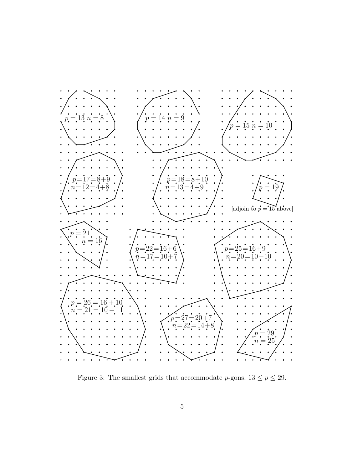

Figure 3: The smallest grids that accommodate p-gons,  $13 \le p \le 29$ .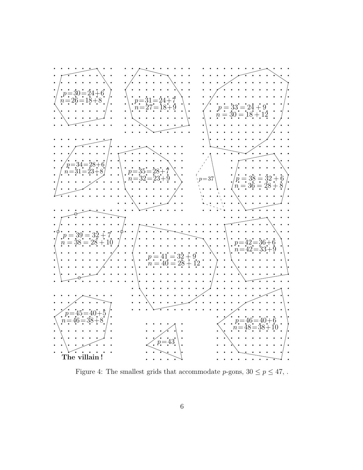

Figure 4: The smallest grids that accommodate  $p\text{-gons},\,30\leq p\leq 47,$  .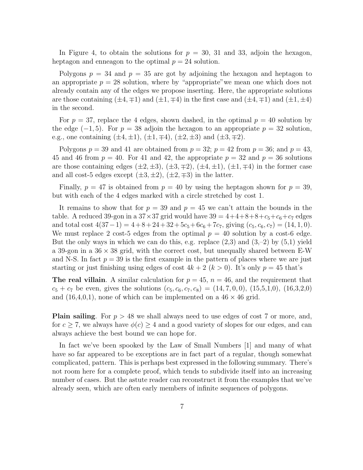In Figure 4, to obtain the solutions for  $p = 30$ , 31 and 33, adjoin the hexagon, heptagon and enneagon to the optimal  $p = 24$  solution.

Polygons  $p = 34$  and  $p = 35$  are got by adjoining the hexagon and heptagon to an appropriate  $p = 28$  solution, where by "appropriate" we mean one which does not already contain any of the edges we propose inserting. Here, the appropriate solutions are those containing  $(\pm 4, \mp 1)$  and  $(\pm 1, \mp 4)$  in the first case and  $(\pm 4, \mp 1)$  and  $(\pm 1, \pm 4)$ in the second.

For  $p = 37$ , replace the 4 edges, shown dashed, in the optimal  $p = 40$  solution by the edge  $(-1, 5)$ . For  $p = 38$  adjoin the hexagon to an appropriate  $p = 32$  solution, e.g., one containing  $(\pm 4, \pm 1)$ ,  $(\pm 1, \mp 4)$ ,  $(\pm 2, \pm 3)$  and  $(\pm 3, \mp 2)$ .

Polygons  $p = 39$  and 41 are obtained from  $p = 32$ ;  $p = 42$  from  $p = 36$ ; and  $p = 43$ , 45 and 46 from  $p = 40$ . For 41 and 42, the appropriate  $p = 32$  and  $p = 36$  solutions are those containing edges  $(\pm 2, \pm 3), (\pm 3, \mp 2), (\pm 4, \pm 1), (\pm 1, \mp 4)$  in the former case and all cost-5 edges except  $(\pm 3, \pm 2), (\pm 2, \mp 3)$  in the latter.

Finally,  $p = 47$  is obtained from  $p = 40$  by using the heptagon shown for  $p = 39$ , but with each of the 4 edges marked with a circle stretched by cost 1.

It remains to show that for  $p = 39$  and  $p = 45$  we can't attain the bounds in the table. A reduced 39-gon in a  $37 \times 37$  grid would have  $39 = 4+4+8+8+c_5+c_6+c_7$  edges and total cost  $4(37-1) = 4+8+24+32+5c_5+6c_6+7c_7$ , giving  $(c_5, c_6, c_7) = (14, 1, 0)$ . We must replace 2 cost-5 edges from the optimal  $p = 40$  solution by a cost-6 edge. But the only ways in which we can do this, e.g. replace  $(2,3)$  and  $(3,-2)$  by  $(5,1)$  yield a 39-gon in a  $36 \times 38$  grid, with the correct cost, but unequally shared between E-W and N-S. In fact  $p = 39$  is the first example in the pattern of places where we are just starting or just finishing using edges of cost  $4k + 2$   $(k > 0)$ . It's only  $p = 45$  that's

**The real villain.** A similar calculation for  $p = 45$ ,  $n = 46$ , and the requirement that  $c_5 + c_7$  be even, gives the solutions  $(c_5, c_6, c_7, c_8) = (14, 7, 0, 0), (15, 5, 1, 0), (16, 3, 2, 0)$ and  $(16,4,0,1)$ , none of which can be implemented on a  $46 \times 46$  grid.

**Plain sailing**. For  $p > 48$  we shall always need to use edges of cost 7 or more, and, for  $c \geq 7$ , we always have  $\phi(c) \geq 4$  and a good variety of slopes for our edges, and can always achieve the best bound we can hope for.

In fact we've been spooked by the Law of Small Numbers [1] and many of what have so far appeared to be exceptions are in fact part of a regular, though somewhat complicated, pattern. This is perhaps best expressed in the following summary. There's not room here for a complete proof, which tends to subdivide itself into an increasing number of cases. But the astute reader can reconstruct it from the examples that we've already seen, which are often early members of infinite sequences of polygons.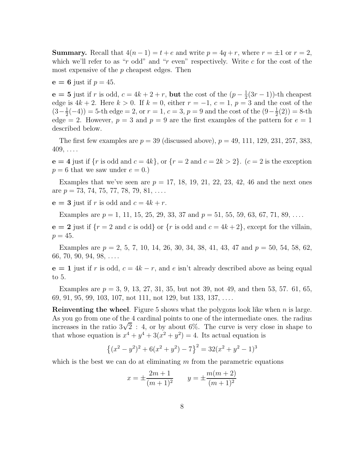**Summary.** Recall that  $4(n-1) = t + e$  and write  $p = 4q + r$ , where  $r = \pm 1$  or  $r = 2$ , which we'll refer to as "r odd" and "r even" respectively. Write c for the cost of the most expensive of the  $p$  cheapest edges. Then

$$
e = 6
$$
 just if  $p = 45$ .

 $e = 5$  just if r is odd,  $c = 4k + 2 + r$ , but the cost of the  $(p - \frac{1}{2})$  $\frac{1}{2}(3r-1)$ )-th cheapest edge is  $4k + 2$ . Here  $k > 0$ . If  $k = 0$ , either  $r = -1$ ,  $c = 1$ ,  $p = 3$  and the cost of the  $\left(3-\frac{1}{2}\right)$  $\frac{1}{2}(-4)$ ) = 5-th edge = 2, or  $r = 1$ ,  $c = 3$ ,  $p = 9$  and the cost of the  $(9 - \frac{1}{2})$  $\frac{1}{2}(2)$ ) = 8-th edge = 2. However,  $p = 3$  and  $p = 9$  are the first examples of the pattern for  $e = 1$ described below.

The first few examples are  $p = 39$  (discussed above),  $p = 49, 111, 129, 231, 257, 383$ ,  $409, \ldots$ 

 $e = 4$  just if  $\{r \text{ is odd and } c = 4k\}, \text{ or } \{r = 2 \text{ and } c = 2k > 2\}.$   $(c = 2 \text{ is the exception})$  $p = 6$  that we saw under  $e = 0$ .)

Examples that we've seen are  $p = 17, 18, 19, 21, 22, 23, 42, 46$  and the next ones are  $p = 73, 74, 75, 77, 78, 79, 81, \ldots$ 

 $e = 3$  just if r is odd and  $c = 4k + r$ .

Examples are  $p = 1, 11, 15, 25, 29, 33, 37$  and  $p = 51, 55, 59, 63, 67, 71, 89, \ldots$ 

 $e = 2$  just if  ${r = 2$  and c is odd or  ${r$  is odd and  $c = 4k + 2$ , except for the villain,  $p = 45.$ 

Examples are  $p = 2, 5, 7, 10, 14, 26, 30, 34, 38, 41, 43, 47, 43, 47, 50, 54, 58, 62,$  $66, 70, 90, 94, 98, \ldots$ 

 $e = 1$  just if r is odd,  $c = 4k - r$ , and e isn't already described above as being equal to 5.

Examples are  $p = 3, 9, 13, 27, 31, 35$ , but not 39, not 49, and then 53, 57. 61, 65, 69, 91, 95, 99, 103, 107, not 111, not 129, but 133, 137, . . . .

**Reinventing the wheel**. Figure 5 shows what the polygons look like when  $n$  is large. As you go from one of the 4 cardinal points to one of the intermediate ones. the radius increases in the ratio  $3\sqrt{2}$ : 4, or by about 6%. The curve is very close in shape to that whose equation is  $x^4 + y^4 + 3(x^2 + y^2) = 4$ . Its actual equation is

$$
\{(x^{2}-y^{2})^{2}+6(x^{2}+y^{2})-7\}^{2}=32(x^{2}+y^{2}-1)^{3}
$$

which is the best we can do at eliminating  $m$  from the parametric equations

$$
x = \pm \frac{2m+1}{(m+1)^2} \qquad y = \pm \frac{m(m+2)}{(m+1)^2}
$$